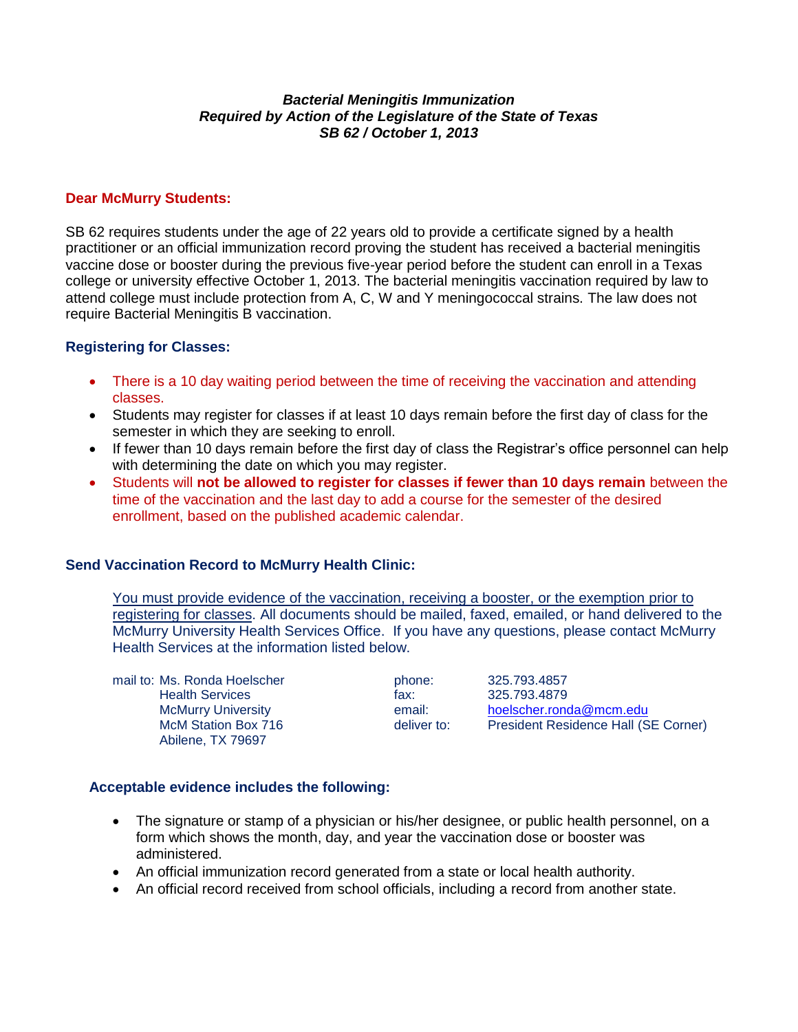#### *Bacterial Meningitis Immunization Required by Action of the Legislature of the State of Texas SB 62 / October 1, 2013*

## **Dear McMurry Students:**

SB 62 requires students under the age of 22 years old to provide a certificate signed by a health practitioner or an official immunization record proving the student has received a bacterial meningitis vaccine dose or booster during the previous five-year period before the student can enroll in a Texas college or university effective October 1, 2013. The bacterial meningitis vaccination required by law to attend college must include protection from A, C, W and Y meningococcal strains. The law does not require Bacterial Meningitis B vaccination.

# **Registering for Classes:**

- There is a 10 day waiting period between the time of receiving the vaccination and attending classes.
- Students may register for classes if at least 10 days remain before the first day of class for the semester in which they are seeking to enroll.
- If fewer than 10 days remain before the first day of class the Registrar's office personnel can help with determining the date on which you may register.
- Students will **not be allowed to register for classes if fewer than 10 days remain** between the time of the vaccination and the last day to add a course for the semester of the desired enrollment, based on the published academic calendar.

## **Send Vaccination Record to McMurry Health Clinic:**

You must provide evidence of the vaccination, receiving a booster, or the exemption prior to registering for classes. All documents should be mailed, faxed, emailed, or hand delivered to the McMurry University Health Services Office. If you have any questions, please contact McMurry Health Services at the information listed below.

mail to: Ms. Ronda Hoelscher **phone:** 325.793.4857 Health Services fax: 325.793.4879<br>McMurry University Fax: 6 and 1: 11 hoelscher.rong Abilene, TX 79697

McMurry University **Example 20 Finds** email: horizontal email: [hoelscher.ronda@mcm.edu](mailto:hoelscher.ronda@mcm.edu)<br>McM Station Box 716 **hoelscher.** President Residence Hall (S McM Station Box 716 deliver to: President Residence Hall (SE Corner)

## **Acceptable evidence includes the following:**

- The signature or stamp of a physician or his/her designee, or public health personnel, on a form which shows the month, day, and year the vaccination dose or booster was administered.
- An official immunization record generated from a state or local health authority.
- An official record received from school officials, including a record from another state.